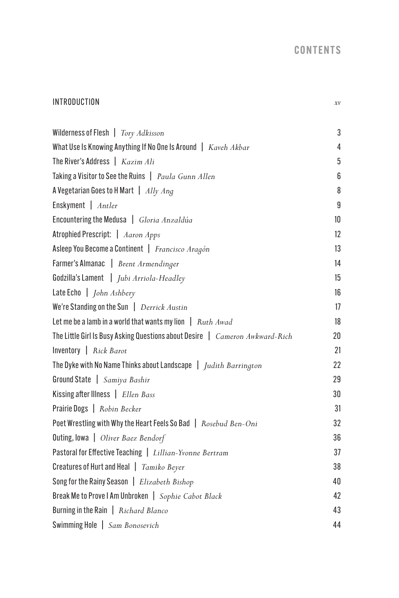## CONTENTS

## INTRODUCTION *xv*

| Wilderness of Flesh   Tory Adkisson                                          | 3  |
|------------------------------------------------------------------------------|----|
| What Use Is Knowing Anything If No One Is Around   Kaveh Akbar               | 4  |
| The River's Address $\int$ Kazim Ali                                         | 5  |
| Taking a Visitor to See the Ruins   Paula Gunn Allen                         | 6  |
| A Vegetarian Goes to H Mart $ $ <i>Ally Ang</i>                              | 8  |
| Enskyment   Antler                                                           | 9  |
| Encountering the Medusa   Gloria Anzaldúa                                    | 10 |
| Atrophied Prescript:   Aaron Apps                                            | 12 |
| Asleep You Become a Continent   Francisco Aragón                             | 13 |
| Farmer's Almanac   Brent Armendinger                                         | 14 |
| Godzilla's Lament   Jubi Arriola-Headley                                     | 15 |
| Late Echo   <i>John Ashbery</i>                                              | 16 |
| We're Standing on the Sun   Derrick Austin                                   | 17 |
| Let me be a lamb in a world that wants my lion $\int$ <i>Ruth Awad</i>       | 18 |
| The Little Girl Is Busy Asking Questions about Desire   Cameron Awkward-Rich | 20 |
| Inventory $\int$ Rick Barot                                                  | 21 |
| The Dyke with No Name Thinks about Landscape $\int$ Judith Barrington        | 22 |
| Ground State   Samiya Bashir                                                 | 29 |
| Kissing after Illness   Ellen Bass                                           | 30 |
| Prairie Dogs   Robin Becker                                                  | 31 |
| Poet Wrestling with Why the Heart Feels So Bad   Rosebud Ben-Oni             | 32 |
| Outing, lowa   Oliver Baez Bendorf                                           | 36 |
| Pastoral for Effective Teaching   Lillian-Yvonne Bertram                     | 37 |
| Creatures of Hurt and Heal   Tamiko Beyer                                    | 38 |
| Song for the Rainy Season   Elizabeth Bishop                                 | 40 |
| Break Me to Prove I Am Unbroken   Sophie Cabot Black                         | 42 |
| Burning in the Rain   Richard Blanco                                         | 43 |
| Swimming Hole   Sam Bonosevich                                               | 44 |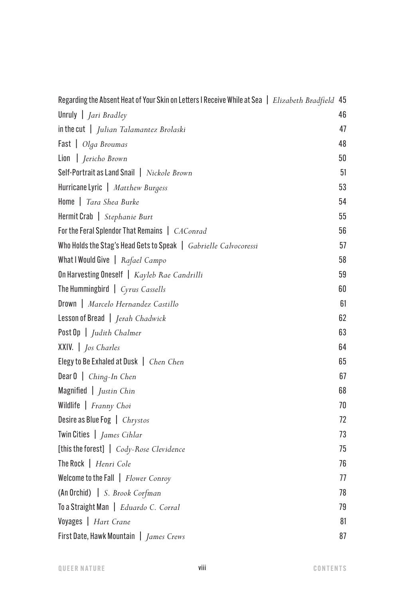| Regarding the Absent Heat of Your Skin on Letters I Receive While at Sea   Elizabeth Bradfield 45 |    |
|---------------------------------------------------------------------------------------------------|----|
| Unruly $\int$ <i>Jari Bradley</i>                                                                 | 46 |
| $\left  \text{in the cut} \right $ Julian Talamantez Brolaski                                     | 47 |
| Fast   Olga Broumas                                                                               | 48 |
| Lion   Jericho Brown                                                                              | 50 |
| Self-Portrait as Land Snail   Nickole Brown                                                       | 51 |
| Hurricane Lyric   Matthew Burgess                                                                 | 53 |
| Home   Tara Shea Burke                                                                            | 54 |
| Hermit Crab   Stephanie Burt                                                                      | 55 |
| For the Feral Splendor That Remains   CAConrad                                                    | 56 |
| Who Holds the Stag's Head Gets to Speak   Gabrielle Calvocoressi                                  | 57 |
| What I Would Give   Rafael Campo                                                                  | 58 |
| On Harvesting Oneself   Kayleb Rae Candrilli                                                      | 59 |
| The Hummingbird $\int Cyrus$ Cassells                                                             | 60 |
| Drown   Marcelo Hernandez Castillo                                                                | 61 |
| Lesson of Bread   Jerah Chadwick                                                                  | 62 |
| Post Op   Judith Chalmer                                                                          | 63 |
| XXIV.   Jos Charles                                                                               | 64 |
| Elegy to Be Exhaled at Dusk   Chen Chen                                                           | 65 |
| Dear $0 \mid$ Ching-In Chen                                                                       | 67 |
| Magnified $\int$ <i>Justin Chin</i>                                                               | 68 |
| Wildlife   Franny Choi                                                                            | 70 |
| Desire as Blue Fog   Chrystos                                                                     | 72 |
| Twin Cities   James Cihlar                                                                        | 73 |
| [this the forest]   Cody-Rose Clevidence                                                          | 75 |
| The Rock   Henri Cole                                                                             | 76 |
| Welcome to the Fall   Flower Conroy                                                               | 77 |
| (An Orchid)   S. Brook Corfman                                                                    | 78 |
| To a Straight Man   Eduardo C. Corral                                                             | 79 |
| Voyages   Hart Crane                                                                              | 81 |
| First Date, Hawk Mountain   James Crews                                                           | 87 |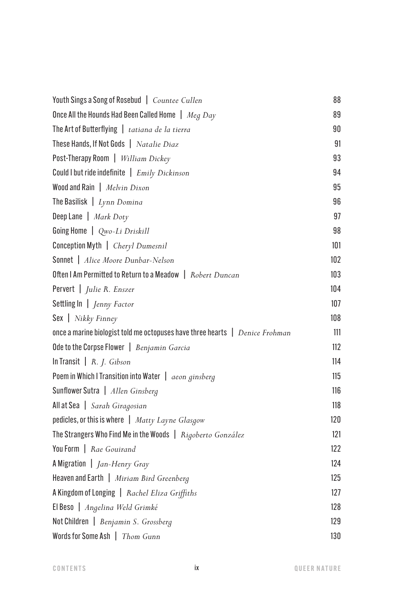| Youth Sings a Song of Rosebud   Countee Cullen              | 88  |
|-------------------------------------------------------------|-----|
| Once All the Hounds Had Been Called Home $\int$ Meg Day     | 89  |
| The Art of Butterflying   tatiana de la tierra              | 90  |
| These Hands, If Not Gods   Natalie Diaz                     | 91  |
| Post-Therapy Room   William Dickey                          | 93  |
| Could I but ride indefinite $\int Emily Dickinson$          | 94  |
| Wood and Rain   Melvin Dixon                                | 95  |
| The Basilisk $\mid$ Lynn Domina                             | 96  |
| Deep Lane $\mid$ Mark Doty                                  | 97  |
| Going Home   Qwo-Li Driskill                                | 98  |
| Conception Myth   Cheryl Dumesnil                           | 101 |
| Sonnet   Alice Moore Dunbar-Nelson                          | 102 |
| Often I Am Permitted to Return to a Meadow   Robert Duncan  | 103 |
| Pervert   Julie R. Enszer                                   | 104 |
| Settling In   Jenny Factor                                  | 107 |
| $\textsf{Sex}$   <i>Nikky Finney</i>                        | 108 |
|                                                             | 111 |
| Ode to the Corpse Flower   Benjamin Garcia                  | 112 |
| In Transit $\mid R. J. Gibson$                              | 114 |
| Poem in Which I Transition into Water   aeon ginsberg       | 115 |
| Sunflower Sutra   Allen Ginsberg                            | 116 |
| All at Sea   Sarah Giragosian                               | 118 |
| pedicles, or this is where   Matty Layne Glasgow            | 120 |
| The Strangers Who Find Me in the Woods   Rigoberto González | 121 |
| You Form   Rae Gouirand                                     | 122 |
| A Migration $\int Jan-Henry$ Gray                           | 124 |
| Heaven and Earth   Miriam Bird Greenberg                    | 125 |
| A Kingdom of Longing   Rachel Eliza Griffiths               | 127 |
| El Beso   Angelina Weld Grimké                              | 128 |
| Not Children   Benjamin S. Grossberg                        | 129 |
| Words for Some Ash   Thom Gunn                              | 130 |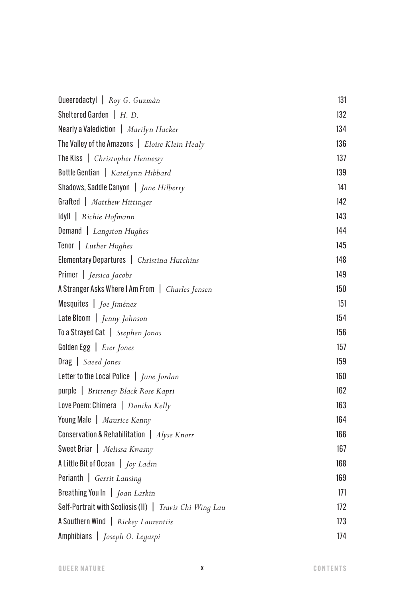| Queerodactyl   Roy G. Guzmán                                       | 131 |
|--------------------------------------------------------------------|-----|
| Sheltered Garden $\mid H. D.$                                      | 132 |
| Nearly a Valediction   Marilyn Hacker                              | 134 |
| The Valley of the Amazons   Eloise Klein Healy                     | 136 |
| The Kiss   Christopher Hennessy                                    | 137 |
| Bottle Gentian   KateLynn Hibbard                                  | 139 |
| Shadows, Saddle Canyon   Jane Hilberry                             | 141 |
| Grafted   Matthew Hittinger                                        | 142 |
| Idyll   Richie Hofmann                                             | 143 |
| Demand   Langston Hughes                                           | 144 |
| Tenor   Luther Hughes                                              | 145 |
| Elementary Departures   Christina Hutchins                         | 148 |
| Primer   <i>Jessica Jacobs</i>                                     | 149 |
| A Stranger Asks Where I Am From   Charles Jensen                   | 150 |
| Mesquites   Joe Jiménez                                            | 151 |
| Late Bloom   Jenny Johnson                                         | 154 |
| To a Strayed Cat   Stephen Jonas                                   | 156 |
| Golden Egg   Ever Jones                                            | 157 |
| Drag   Saeed Jones                                                 | 159 |
| Letter to the Local Police   June Jordan                           | 160 |
| purple   Britteney Black Rose Kapri                                | 162 |
| Love Poem: Chimera   Donika Kelly                                  | 163 |
| Young Male   Maurice Kenny                                         | 164 |
| <b>Conservation &amp; Rehabilitation</b> $\int$ <i>Alyse Knorr</i> | 166 |
| Sweet Briar   Melissa Kwasny                                       | 167 |
| A Little Bit of Ocean $\int$ <i>Joy Ladin</i>                      | 168 |
| Perianth   Gerrit Lansing                                          | 169 |
| Breathing You In   Joan Larkin                                     | 171 |
| Self-Portrait with Scoliosis (II)   Travis Chi Wing Lau            | 172 |
| A Southern Wind   Rickey Laurentiis                                | 173 |
| Amphibians   Joseph O. Legaspi                                     | 174 |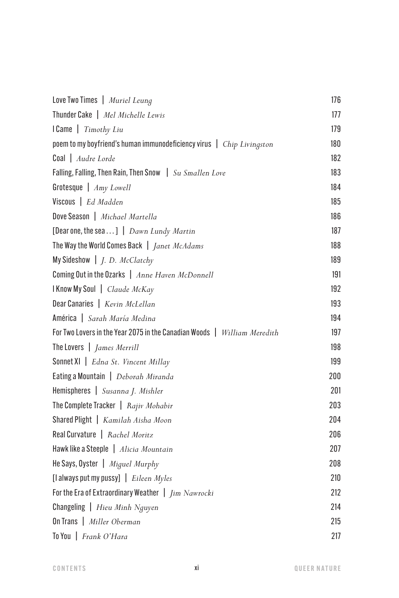| Love Two Times   Muriel Leung                                            | 176 |
|--------------------------------------------------------------------------|-----|
| Thunder Cake   Mel Michelle Lewis                                        | 177 |
| I Came   Timothy Liu                                                     | 179 |
| poem to my boyfriend's human immunodeficiency virus $ $ Chip Livingston  | 180 |
| Coal   Audre Lorde                                                       | 182 |
| Falling, Falling, Then Rain, Then Snow   Su Smallen Love                 | 183 |
| Grotesque   Amy Lowell                                                   | 184 |
| Viscous   Ed Madden                                                      | 185 |
| Dove Season   Michael Martella                                           | 186 |
| [Dear one, the sea]   Dawn Lundy Martin                                  | 187 |
| The Way the World Comes Back   <i>Janet McAdams</i>                      | 188 |
| My Sideshow $\mid$ <i>J. D. McClatchy</i>                                | 189 |
| Coming Out in the Ozarks   Anne Haven McDonnell                          | 191 |
| <b>I Know My Soul</b>   Claude McKay                                     | 192 |
| Dear Canaries   Kevin McLellan                                           | 193 |
| América   Sarah María Medina                                             | 194 |
| For Two Lovers in the Year 2075 in the Canadian Woods   William Meredith | 197 |
| The Lovers   James Merrill                                               | 198 |
| <b>Sonnet XI</b>   Edna St. Vincent Millay                               | 199 |
| Eating a Mountain   Deborah Miranda                                      | 200 |
| Hemispheres   Susanna J. Mishler                                         | 201 |
| The Complete Tracker $ $ Rajiv Mohabir                                   | 203 |
| Shared Plight   Kamilah Aisha Moon                                       | 204 |
| Real Curvature   Rachel Moritz                                           | 206 |
| Hawk like a Steeple   Alicia Mountain                                    | 207 |
| He Says, Oyster   Miguel Murphy                                          | 208 |
| [l always put my pussy] $\mid$ Eileen Myles                              | 210 |
| For the Era of Extraordinary Weather $\int \lim \, Nawrocki$             | 212 |
| <b>Changeling</b>   <i>Hieu Minh Nguyen</i>                              | 214 |
| On Trans   Miller Oberman                                                | 215 |
| To You   Frank O'Hara                                                    | 217 |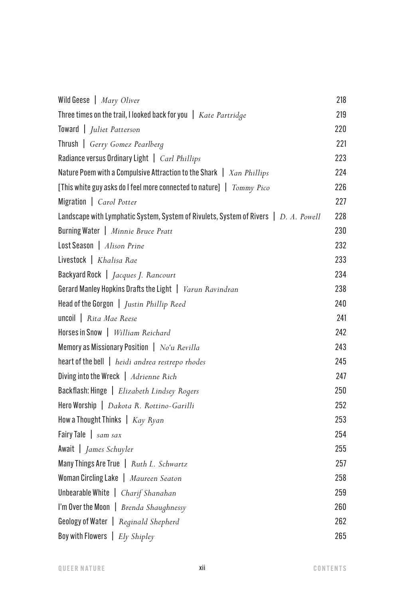| Wild Geese   Mary Oliver                                                             | 218 |
|--------------------------------------------------------------------------------------|-----|
| Three times on the trail, I looked back for you   Kate Partridge                     | 219 |
| Toward   Juliet Patterson                                                            | 220 |
| Thrush   Gerry Gomez Pearlberg                                                       | 221 |
| Radiance versus Ordinary Light   Carl Phillips                                       | 223 |
| Nature Poem with a Compulsive Attraction to the Shark $\parallel$ Xan Phillips       | 224 |
| [This white guy asks do I feel more connected to nature] $\mid$ $Tommy$ Pico         | 226 |
| Migration   Carol Potter                                                             | 227 |
| Landscape with Lymphatic System, System of Rivulets, System of Rivers   D. A. Powell | 228 |
| Burning Water   Minnie Bruce Pratt                                                   | 230 |
| Lost Season   Alison Prine                                                           | 232 |
| Livestock   Khalisa Rae                                                              | 233 |
| Backyard Rock   <i>Jacques J. Rancourt</i>                                           | 234 |
| Gerard Manley Hopkins Drafts the Light   Varun Ravindran                             | 238 |
| Head of the Gorgon   Justin Phillip Reed                                             | 240 |
| uncoil   Rita Mae Reese                                                              | 241 |
| Horses in Snow   William Reichard                                                    | 242 |
| Memory as Missionary Position $ $ No'u Revilla                                       | 243 |
| heart of the bell   heidi andrea restrepo rhodes                                     | 245 |
| Diving into the Wreck   Adrienne Rich                                                | 247 |
| Backflash: Hinge   Elizabeth Lindsey Rogers                                          | 250 |
| Hero Worship   Dakota R. Rottino-Garilli                                             | 252 |
| How a Thought Thinks   Kay Ryan                                                      | 253 |
| Fairy Tale $\int$ sam sax                                                            | 254 |
| Await   James Schuyler                                                               | 255 |
| Many Things Are True   Ruth L. Schwartz                                              | 257 |
| Woman Circling Lake   Maureen Seaton                                                 | 258 |
| Unbearable White   Charif Shanahan                                                   | 259 |
| I'm Over the Moon   Brenda Shaughnessy                                               | 260 |
| Geology of Water   Reginald Shepherd                                                 | 262 |
| Boy with Flowers $ Ely Shipley$                                                      | 265 |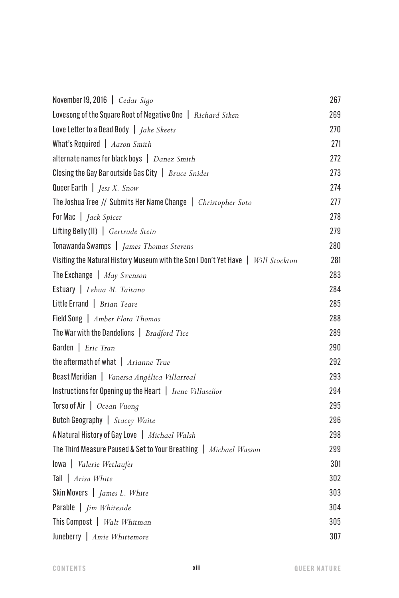| November 19, 2016   Cedar Sigo                                                    | 267 |
|-----------------------------------------------------------------------------------|-----|
| Lovesong of the Square Root of Negative One   Richard Siken                       | 269 |
| Love Letter to a Dead Body   <i>Jake Skeets</i>                                   | 270 |
| What's Required $ $ Aaron Smith                                                   | 271 |
| alternate names for black boys   Danez Smith                                      | 272 |
| Closing the Gay Bar outside Gas City $\int$ <i>Bruce Snider</i>                   | 273 |
| Queer Earth $\int$ <i>Jess X. Snow</i>                                            | 274 |
| The Joshua Tree // Submits Her Name Change   Christopher Soto                     | 277 |
| For Mac   <i>Jack Spicer</i>                                                      | 278 |
| Lifting Belly (II)   Gertrude Stein                                               | 279 |
| Tonawanda Swamps   James Thomas Stevens                                           | 280 |
| Visiting the Natural History Museum with the Son I Don't Yet Have   Will Stockton | 281 |
| The Exchange $\int$ May Swenson                                                   | 283 |
| Estuary   Lehua M. Taitano                                                        | 284 |
| Little Errand $\vert$ Brian Teare                                                 | 285 |
| Field Song   Amber Flora Thomas                                                   | 288 |
| The War with the Dandelions $\int$ <i>Bradford Tice</i>                           | 289 |
| Garden   Eric Tran                                                                | 290 |
| the aftermath of what $ $ Arianne True                                            | 292 |
| Beast Meridian   Vanessa Angélica Villarreal                                      | 293 |
| Instructions for Opening up the Heart   Irene Villaseñor                          | 294 |
| Torso of Air   Ocean Vuong                                                        | 295 |
| Butch Geography   Stacey Waite                                                    | 296 |
| A Natural History of Gay Love   Michael Walsh                                     | 298 |
| The Third Measure Paused & Set to Your Breathing   Michael Wasson                 | 299 |
| lowa   Valerie Wetlaufer                                                          | 301 |
| Tail   Arisa White                                                                | 302 |
| Skin Movers $\int$ <i>James L. White</i>                                          | 303 |
| Parable   <i>Jim Whiteside</i>                                                    | 304 |
| This Compost   Walt Whitman                                                       | 305 |
| Juneberry   Amie Whittemore                                                       | 307 |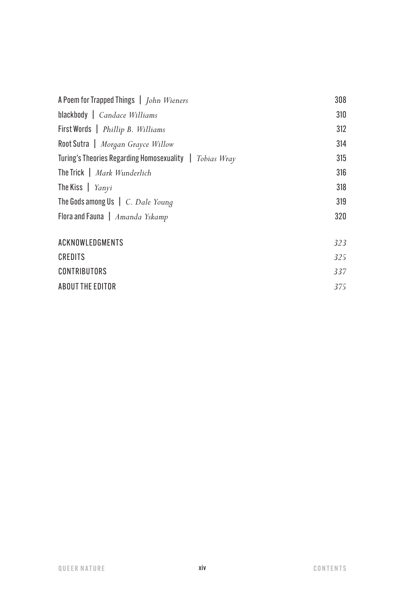| A Poem for Trapped Things   John Wieners                | 308 |
|---------------------------------------------------------|-----|
| blackbody $\int$ Candace Williams                       | 310 |
| First Words   Phillip B. Williams                       | 312 |
| Root Sutra   Morgan Grayce Willow                       | 314 |
| Turing's Theories Regarding Homosexuality   Tobias Wray | 315 |
| The Trick   Mark Wunderlich                             | 316 |
| The Kiss $ $ Yanyi                                      | 318 |
| The Gods among Us $\mid$ C. Dale Young                  | 319 |
| Flora and Fauna $\int$ <i>Amanda Yskamp</i>             | 320 |
|                                                         |     |
| ACKNOWLEDGMENTS                                         | 323 |
| CREDITS                                                 | 325 |
| <b>CONTRIBUTORS</b>                                     | 337 |
| ABOUT THE EDITOR                                        | 375 |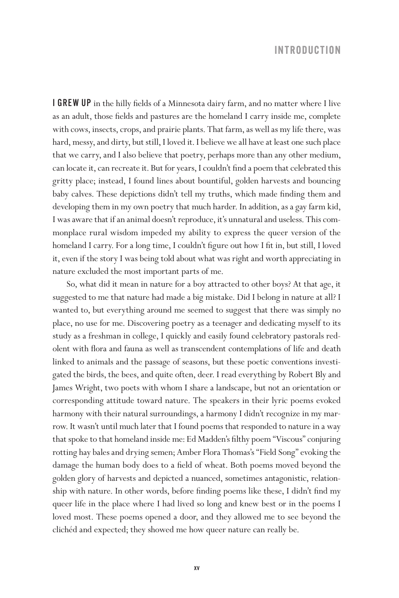## **INTRODUCTION**

I GREW UP in the hilly fields of a Minnesota dairy farm, and no matter where I live as an adult, those fields and pastures are the homeland I carry inside me, complete with cows, insects, crops, and prairie plants. That farm, as well as my life there, was hard, messy, and dirty, but still, I loved it. I believe we all have at least one such place that we carry, and I also believe that poetry, perhaps more than any other medium, can locate it, can recreate it. But for years, I couldn't find a poem that celebrated this gritty place; instead, I found lines about bountiful, golden harvests and bouncing baby calves. These depictions didn't tell my truths, which made finding them and developing them in my own poetry that much harder. In addition, as a gay farm kid, I was aware that if an animal doesn't reproduce, it's unnatural and useless. This commonplace rural wisdom impeded my ability to express the queer version of the homeland I carry. For a long time, I couldn't figure out how I fit in, but still, I loved it, even if the story I was being told about what was right and worth appreciating in nature excluded the most important parts of me.

So, what did it mean in nature for a boy attracted to other boys? At that age, it suggested to me that nature had made a big mistake. Did I belong in nature at all? I wanted to, but everything around me seemed to suggest that there was simply no place, no use for me. Discovering poetry as a teenager and dedicating myself to its study as a freshman in college, I quickly and easily found celebratory pastorals redolent with flora and fauna as well as transcendent contemplations of life and death linked to animals and the passage of seasons, but these poetic conventions investigated the birds, the bees, and quite often, deer. I read everything by Robert Bly and James Wright, two poets with whom I share a landscape, but not an orientation or corresponding attitude toward nature. The speakers in their lyric poems evoked harmony with their natural surroundings, a harmony I didn't recognize in my marrow. It wasn't until much later that I found poems that responded to nature in a way that spoke to that homeland inside me: Ed Madden's filthy poem "Viscous" conjuring rotting hay bales and drying semen; Amber Flora Thomas's "Field Song" evoking the damage the human body does to a field of wheat. Both poems moved beyond the golden glory of harvests and depicted a nuanced, sometimes antagonistic, relationship with nature. In other words, before finding poems like these, I didn't find my queer life in the place where I had lived so long and knew best or in the poems I loved most. These poems opened a door, and they allowed me to see beyond the clichéd and expected; they showed me how queer nature can really be.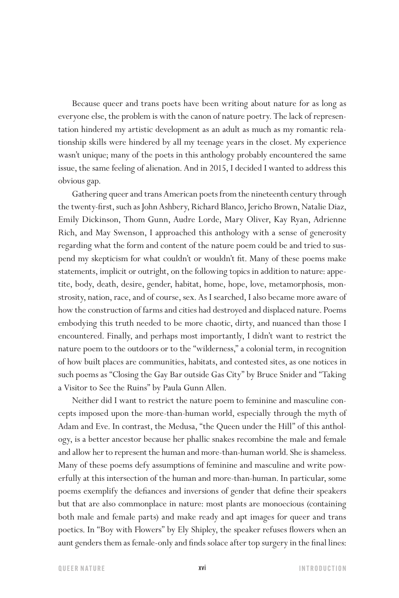Because queer and trans poets have been writing about nature for as long as everyone else, the problem is with the canon of nature poetry. The lack of representation hindered my artistic development as an adult as much as my romantic relationship skills were hindered by all my teenage years in the closet. My experience wasn't unique; many of the poets in this anthology probably encountered the same issue, the same feeling of alienation. And in 2015, I decided I wanted to address this obvious gap.

Gathering queer and trans American poets from the nineteenth century through the twenty-first, such as John Ashbery, Richard Blanco, Jericho Brown, Natalie Diaz, Emily Dickinson, Thom Gunn, Audre Lorde, Mary Oliver, Kay Ryan, Adrienne Rich, and May Swenson, I approached this anthology with a sense of generosity regarding what the form and content of the nature poem could be and tried to suspend my skepticism for what couldn't or wouldn't fit. Many of these poems make statements, implicit or outright, on the following topics in addition to nature: appetite, body, death, desire, gender, habitat, home, hope, love, metamorphosis, monstrosity, nation, race, and of course, sex. As I searched, I also became more aware of how the construction of farms and cities had destroyed and displaced nature. Poems embodying this truth needed to be more chaotic, dirty, and nuanced than those I encountered. Finally, and perhaps most importantly, I didn't want to restrict the nature poem to the outdoors or to the "wilderness," a colonial term, in recognition of how built places are communities, habitats, and contested sites, as one notices in such poems as "Closing the Gay Bar outside Gas City" by Bruce Snider and "Taking a Visitor to See the Ruins" by Paula Gunn Allen.

Neither did I want to restrict the nature poem to feminine and masculine concepts imposed upon the more-than-human world, especially through the myth of Adam and Eve. In contrast, the Medusa, "the Queen under the Hill" of this anthology, is a better ancestor because her phallic snakes recombine the male and female and allow her to represent the human and more-than-human world. She is shameless. Many of these poems defy assumptions of feminine and masculine and write powerfully at this intersection of the human and more-than-human. In particular, some poems exemplify the defiances and inversions of gender that define their speakers but that are also commonplace in nature: most plants are monoecious (containing both male and female parts) and make ready and apt images for queer and trans poetics. In "Boy with Flowers" by Ely Shipley, the speaker refuses flowers when an aunt genders them as female-only and finds solace after top surgery in the final lines: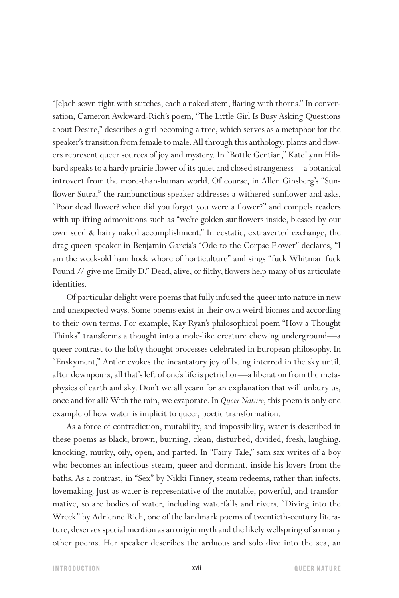"[e]ach sewn tight with stitches, each a naked stem, flaring with thorns." In conversation, Cameron Awkward-Rich's poem, "The Little Girl Is Busy Asking Questions about Desire," describes a girl becoming a tree, which serves as a metaphor for the speaker's transition from female to male. All through this anthology, plants and flowers represent queer sources of joy and mystery. In "Bottle Gentian," KateLynn Hibbard speaks to a hardy prairie flower of its quiet and closed strangeness—a botanical introvert from the more-than-human world. Of course, in Allen Ginsberg's "Sunflower Sutra," the rambunctious speaker addresses a withered sunflower and asks, "Poor dead flower? when did you forget you were a flower?" and compels readers with uplifting admonitions such as "we're golden sunflowers inside, blessed by our own seed & hairy naked accomplishment." In ecstatic, extraverted exchange, the drag queen speaker in Benjamin Garcia's "Ode to the Corpse Flower" declares, "I am the week-old ham hock whore of horticulture" and sings "fuck Whitman fuck Pound // give me Emily D." Dead, alive, or filthy, flowers help many of us articulate identities.

Of particular delight were poems that fully infused the queer into nature in new and unexpected ways. Some poems exist in their own weird biomes and according to their own terms. For example, Kay Ryan's philosophical poem "How a Thought Thinks" transforms a thought into a mole-like creature chewing underground—a queer contrast to the lofty thought processes celebrated in European philosophy. In "Enskyment," Antler evokes the incantatory joy of being interred in the sky until, after downpours, all that's left of one's life is petrichor—a liberation from the metaphysics of earth and sky. Don't we all yearn for an explanation that will unbury us, once and for all? With the rain, we evaporate. In *Queer Nature*, this poem is only one example of how water is implicit to queer, poetic transformation.

As a force of contradiction, mutability, and impossibility, water is described in these poems as black, brown, burning, clean, disturbed, divided, fresh, laughing, knocking, murky, oily, open, and parted. In "Fairy Tale," sam sax writes of a boy who becomes an infectious steam, queer and dormant, inside his lovers from the baths. As a contrast, in "Sex" by Nikki Finney, steam redeems, rather than infects, lovemaking. Just as water is representative of the mutable, powerful, and transformative, so are bodies of water, including waterfalls and rivers. "Diving into the Wreck" by Adrienne Rich, one of the landmark poems of twentieth-century literature, deserves special mention as an origin myth and the likely wellspring of so many other poems. Her speaker describes the arduous and solo dive into the sea, an